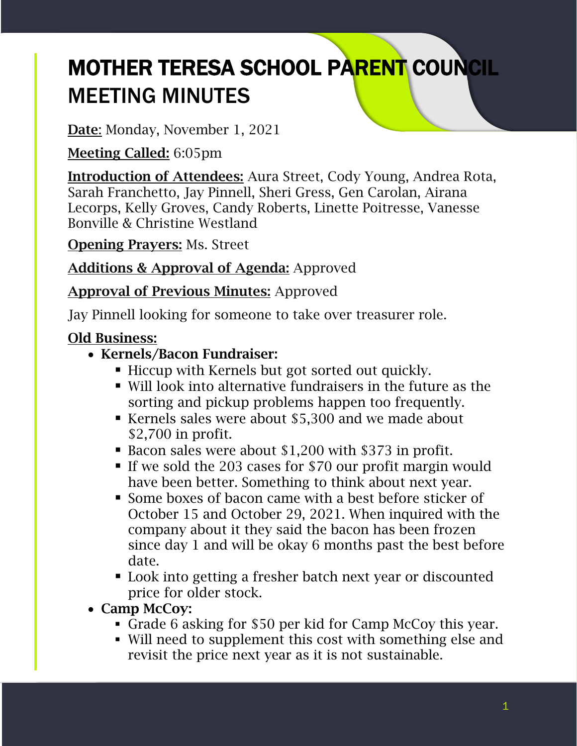# MOTHER TERESA SCHOOL PARENT COUNCIL MEETING MINUTES

Date: Monday, November 1, 2021

Meeting Called: 6:05pm

Introduction of Attendees: Aura Street, Cody Young, Andrea Rota, Sarah Franchetto, Jay Pinnell, Sheri Gress, Gen Carolan, Airana Lecorps, Kelly Groves, Candy Roberts, Linette Poitresse, Vanesse Bonville & Christine Westland

Opening Prayers: Ms. Street

Additions & Approval of Agenda: Approved

Approval of Previous Minutes: Approved

Jay Pinnell looking for someone to take over treasurer role.

## Old Business:

- Kernels/Bacon Fundraiser:
	- **EXECUP with Kernels but got sorted out quickly.**
	- Will look into alternative fundraisers in the future as the sorting and pickup problems happen too frequently.
	- Kernels sales were about \$5,300 and we made about \$2,700 in profit.
	- Bacon sales were about \$1,200 with \$373 in profit.
	- If we sold the 203 cases for \$70 our profit margin would have been better. Something to think about next year.
	- Some boxes of bacon came with a best before sticker of October 15 and October 29, 2021. When inquired with the company about it they said the bacon has been frozen since day 1 and will be okay 6 months past the best before date.
	- Look into getting a fresher batch next year or discounted price for older stock.
- Camp McCoy:
	- Grade 6 asking for \$50 per kid for Camp McCoy this year.
	- Will need to supplement this cost with something else and revisit the price next year as it is not sustainable.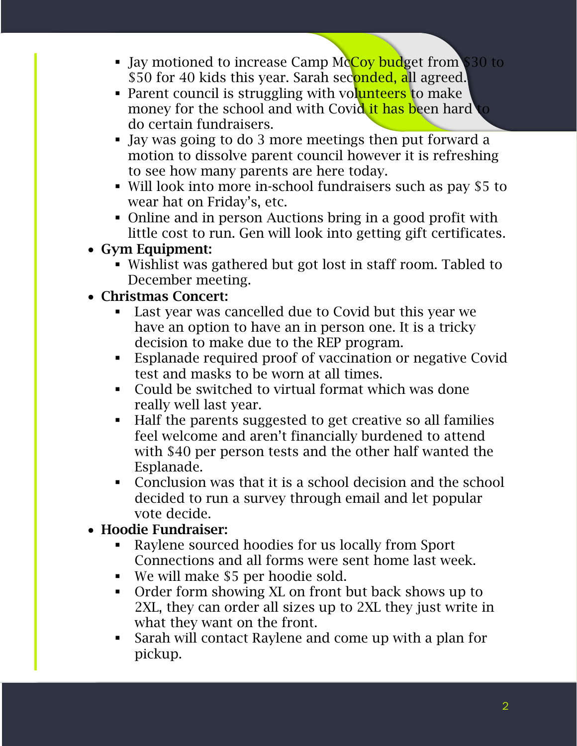- I Jay motioned to increase Camp McCoy budget from \$30 to \$50 for 40 kids this year. Sarah seconded, all agreed.
- Parent council is struggling with volunteers to make money for the school and with Covid it has been hard to do certain fundraisers.
- Jay was going to do 3 more meetings then put forward a motion to dissolve parent council however it is refreshing to see how many parents are here today.
- Will look into more in-school fundraisers such as pay \$5 to wear hat on Friday's, etc.
- Online and in person Auctions bring in a good profit with little cost to run. Gen will look into getting gift certificates.

## • Gym Equipment:

▪ Wishlist was gathered but got lost in staff room. Tabled to December meeting.

## • Christmas Concert:

- Last year was cancelled due to Covid but this year we have an option to have an in person one. It is a tricky decision to make due to the REP program.
- Esplanade required proof of vaccination or negative Covid test and masks to be worn at all times.
- Could be switched to virtual format which was done really well last year.
- Half the parents suggested to get creative so all families feel welcome and aren't financially burdened to attend with \$40 per person tests and the other half wanted the Esplanade.
- Conclusion was that it is a school decision and the school decided to run a survey through email and let popular vote decide.

## • Hoodie Fundraiser:

- Raylene sourced hoodies for us locally from Sport Connections and all forms were sent home last week.
- We will make \$5 per hoodie sold.
- Order form showing XL on front but back shows up to 2XL, they can order all sizes up to 2XL they just write in what they want on the front.
- Sarah will contact Raylene and come up with a plan for pickup.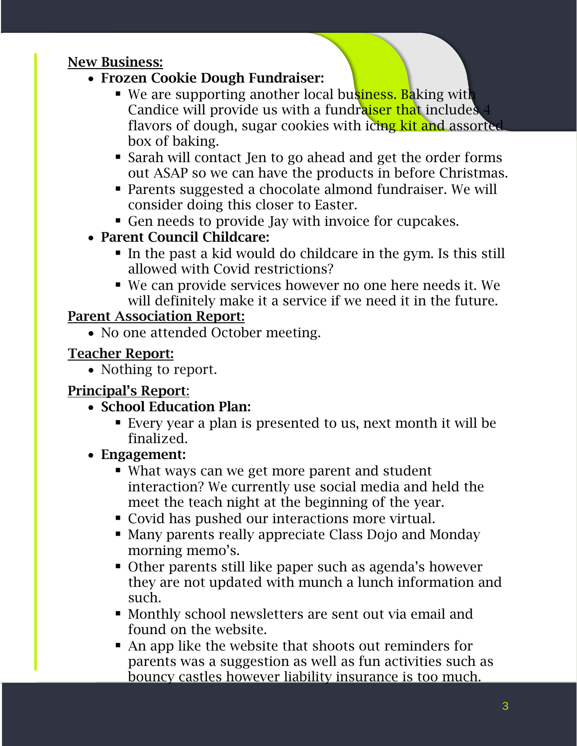#### New Business:

- Frozen Cookie Dough Fundraiser:
	- We are supporting another local business. Baking with Candice will provide us with a fundraiser that includes 4 flavors of dough, sugar cookies with icing kit and assorted box of baking.
	- Sarah will contact Jen to go ahead and get the order forms out ASAP so we can have the products in before Christmas.
	- Parents suggested a chocolate almond fundraiser. We will consider doing this closer to Easter.
	- Gen needs to provide Jay with invoice for cupcakes.
- Parent Council Childcare:
	- In the past a kid would do childcare in the gym. Is this still allowed with Covid restrictions?
	- We can provide services however no one here needs it. We will definitely make it a service if we need it in the future.

#### Parent Association Report:

• No one attended October meeting.

### Teacher Report:

• Nothing to report.

## Principal's Report:

- School Education Plan:
	- Every year a plan is presented to us, next month it will be finalized.
- Engagement:
	- What ways can we get more parent and student interaction? We currently use social media and held the meet the teach night at the beginning of the year.
	- Covid has pushed our interactions more virtual.
	- Many parents really appreciate Class Dojo and Monday morning memo's.
	- Other parents still like paper such as agenda's however they are not updated with munch a lunch information and such.
	- Monthly school newsletters are sent out via email and found on the website.
	- An app like the website that shoots out reminders for parents was a suggestion as well as fun activities such as bouncy castles however liability insurance is too much.